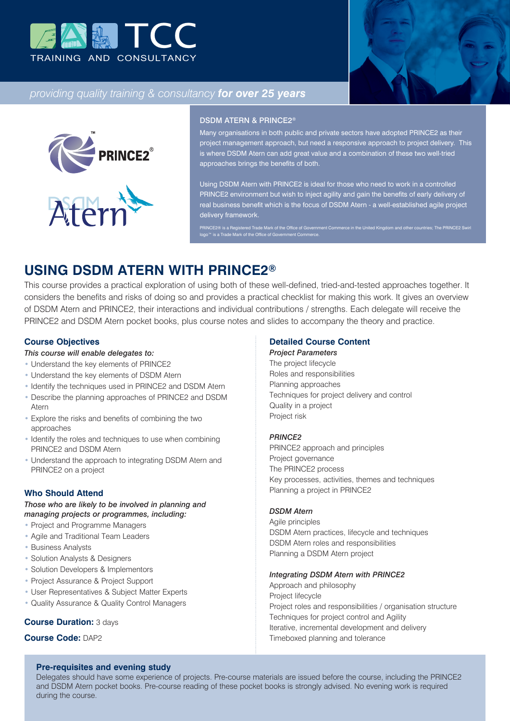



## *providing quality training & consultancy for over 25 years*



#### DSDM ATERN & PRINCE2®

Many organisations in both public and private sectors have adopted PRINCE2 as their project management approach, but need a responsive approach to project delivery. This is where DSDM Atern can add great value and a combination of these two well-tried approaches brings the benefits of both.

Using DSDM Atern with PRINCE2 is ideal for those who need to work in a controlled PRINCE2 environment but wish to inject agility and gain the benefits of early delivery of real business benefit which is the focus of DSDM Atern - a well-established agile project delivery framework.

PRINCE2® is a Registered Trade Mark of the Office of Government Commerce in the United Kingdom and other countries; The PRINCE2 Swirl logo™ is a Trade Mark of the Office of Government Commerce.

# **USING DSDM ATERN WITH PRINCE2®**

This course provides a practical exploration of using both of these well-defined, tried-and-tested approaches together. It considers the benefits and risks of doing so and provides a practical checklist for making this work. It gives an overview of DSDM Atern and PRINCE2, their interactions and individual contributions / strengths. Each delegate will receive the PRINCE2 and DSDM Atern pocket books, plus course notes and slides to accompany the theory and practice.

## **Course Objectives**

## *This course will enable delegates to:*

- Understand the key elements of PRINCE2
- Understand the key elements of DSDM Atern
- Identify the techniques used in PRINCE2 and DSDM Atern
- Describe the planning approaches of PRINCE2 and DSDM Atern
- Explore the risks and benefits of combining the two approaches
- Identify the roles and techniques to use when combining PRINCE2 and DSDM Atern
- Understand the approach to integrating DSDM Atern and PRINCE2 on a project

## **Who Should Attend**

*Those who are likely to be involved in planning and managing projects or programmes, including:*

- Project and Programme Managers
- Agile and Traditional Team Leaders
- Business Analysts
- Solution Analysts & Designers
- Solution Developers & Implementors
- Project Assurance & Project Support
- User Representatives & Subject Matter Experts
- Quality Assurance & Quality Control Managers

## **Course Duration:** 3 days

## **Course Code:** DAP2

## **Pre-requisites and evening study**

Delegates should have some experience of projects. Pre-course materials are issued before the course, including the PRINCE2 and DSDM Atern pocket books. Pre-course reading of these pocket books is strongly advised. No evening work is required during the course.

## **Detailed Course Content**

#### *Project Parameters*

The project lifecycle Roles and responsibilities Planning approaches Techniques for project delivery and control Quality in a project Project risk

## *PRINCE2*

PRINCE2 approach and principles Project governance The PRINCE2 process Key processes, activities, themes and techniques Planning a project in PRINCE2

#### *DSDM Atern*

Agile principles DSDM Atern practices, lifecycle and techniques DSDM Atern roles and responsibilities Planning a DSDM Atern project

#### *Integrating DSDM Atern with PRINCE2*

Approach and philosophy Project lifecycle Project roles and responsibilities / organisation structure Techniques for project control and Agility Iterative, incremental development and delivery Timeboxed planning and tolerance